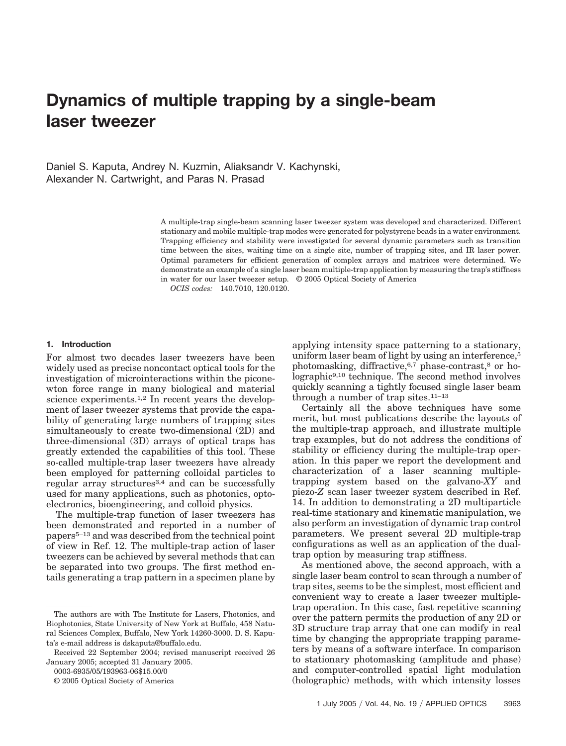# **Dynamics of multiple trapping by a single-beam laser tweezer**

Daniel S. Kaputa, Andrey N. Kuzmin, Aliaksandr V. Kachynski, Alexander N. Cartwright, and Paras N. Prasad

> A multiple-trap single-beam scanning laser tweezer system was developed and characterized. Different stationary and mobile multiple-trap modes were generated for polystyrene beads in a water environment. Trapping efficiency and stability were investigated for several dynamic parameters such as transition time between the sites, waiting time on a single site, number of trapping sites, and IR laser power. Optimal parameters for efficient generation of complex arrays and matrices were determined. We demonstrate an example of a single laser beam multiple-trap application by measuring the trap's stiffness in water for our laser tweezer setup. © 2005 Optical Society of America

*OCIS codes:* 140.7010, 120.0120.

# **1. Introduction**

For almost two decades laser tweezers have been widely used as precise noncontact optical tools for the investigation of microinteractions within the piconewton force range in many biological and material science experiments.<sup>1,2</sup> In recent years the development of laser tweezer systems that provide the capability of generating large numbers of trapping sites simultaneously to create two-dimensional (2D) and three-dimensional (3D) arrays of optical traps has greatly extended the capabilities of this tool. These so-called multiple-trap laser tweezers have already been employed for patterning colloidal particles to regular array structures<sup>3,4</sup> and can be successfully used for many applications, such as photonics, optoelectronics, bioengineering, and colloid physics.

The multiple-trap function of laser tweezers has been demonstrated and reported in a number of papers5–13 and was described from the technical point of view in Ref. 12. The multiple-trap action of laser tweezers can be achieved by several methods that can be separated into two groups. The first method entails generating a trap pattern in a specimen plane by

0003-6935/05/193963-06\$15.00/0

© 2005 Optical Society of America

applying intensity space patterning to a stationary, uniform laser beam of light by using an interference,<sup>5</sup> photomasking, diffractive,6,7 phase-contrast,8 or holographic9,10 technique. The second method involves quickly scanning a tightly focused single laser beam through a number of trap sites. $11-13$ 

Certainly all the above techniques have some merit, but most publications describe the layouts of the multiple-trap approach, and illustrate multiple trap examples, but do not address the conditions of stability or efficiency during the multiple-trap operation. In this paper we report the development and characterization of a laser scanning multipletrapping system based on the galvano-*XY* and piezo-*Z* scan laser tweezer system described in Ref. 14. In addition to demonstrating a 2D multiparticle real-time stationary and kinematic manipulation, we also perform an investigation of dynamic trap control parameters. We present several 2D multiple-trap configurations as well as an application of the dualtrap option by measuring trap stiffness.

As mentioned above, the second approach, with a single laser beam control to scan through a number of trap sites, seems to be the simplest, most efficient and convenient way to create a laser tweezer multipletrap operation. In this case, fast repetitive scanning over the pattern permits the production of any 2D or 3D structure trap array that one can modify in real time by changing the appropriate trapping parameters by means of a software interface. In comparison to stationary photomasking (amplitude and phase) and computer-controlled spatial light modulation (holographic) methods, with which intensity losses

The authors are with The Institute for Lasers, Photonics, and Biophotonics, State University of New York at Buffalo, 458 Natural Sciences Complex, Buffalo, New York 14260-3000. D. S. Kaputa's e-mail address is dskaputa@buffalo.edu.

Received 22 September 2004; revised manuscript received 26 January 2005; accepted 31 January 2005.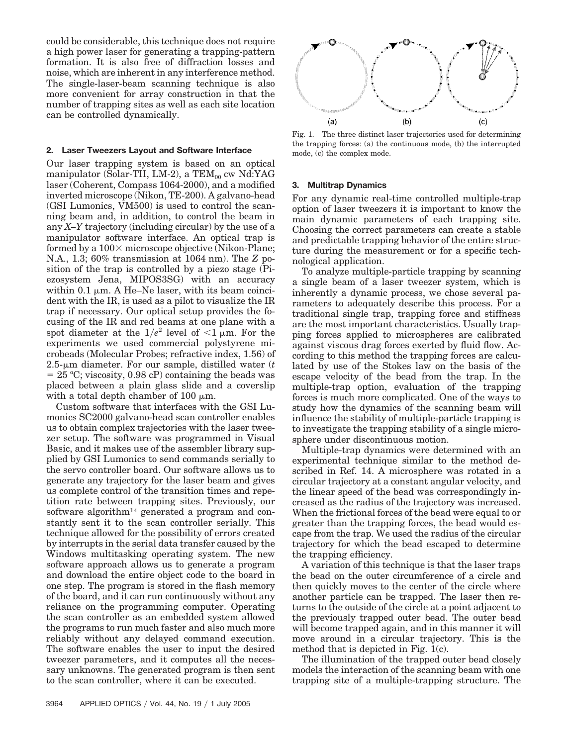could be considerable, this technique does not require a high power laser for generating a trapping-pattern formation. It is also free of diffraction losses and noise, which are inherent in any interference method. The single-laser-beam scanning technique is also more convenient for array construction in that the number of trapping sites as well as each site location can be controlled dynamically.

### **2. Laser Tweezers Layout and Software Interface**

Our laser trapping system is based on an optical manipulator (Solar-TII, LM-2), a  $TEM_{00}$  cw Nd:YAG laser (Coherent, Compass 1064-2000), and a modified inverted microscope (Nikon, TE-200). A galvano-head (GSI Lumonics, VM500) is used to control the scanning beam and, in addition, to control the beam in any *X–Y* trajectory (including circular) by the use of a manipulator software interface. An optical trap is formed by a  $100 \times$  microscope objective (Nikon-Plane; N.A., 1.3; 60% transmission at 1064 nm). The *Z* position of the trap is controlled by a piezo stage (Piezosystem Jena, MIPOS3SG) with an accuracy within  $0.1 \mu m$ . A He–Ne laser, with its beam coincident with the IR, is used as a pilot to visualize the IR trap if necessary. Our optical setup provides the focusing of the IR and red beams at one plane with a spot diameter at the  $1/e^2$  level of  $\leq 1 \mu$ m. For the experiments we used commercial polystyrene microbeads (Molecular Probes; refractive index, 1.56) of  $2.5$ - $\mu$ m diameter. For our sample, distilled water  $(t)$  $= 25$  °C; viscosity, 0.98 cP) containing the beads was placed between a plain glass slide and a coverslip with a total depth chamber of 100  $\mu$ m.

Custom software that interfaces with the GSI Lumonics SC2000 galvano-head scan controller enables us to obtain complex trajectories with the laser tweezer setup. The software was programmed in Visual Basic, and it makes use of the assembler library supplied by GSI Lumonics to send commands serially to the servo controller board. Our software allows us to generate any trajectory for the laser beam and gives us complete control of the transition times and repetition rate between trapping sites. Previously, our software algorithm<sup>14</sup> generated a program and constantly sent it to the scan controller serially. This technique allowed for the possibility of errors created by interrupts in the serial data transfer caused by the Windows multitasking operating system. The new software approach allows us to generate a program and download the entire object code to the board in one step. The program is stored in the flash memory of the board, and it can run continuously without any reliance on the programming computer. Operating the scan controller as an embedded system allowed the programs to run much faster and also much more reliably without any delayed command execution. The software enables the user to input the desired tweezer parameters, and it computes all the necessary unknowns. The generated program is then sent to the scan controller, where it can be executed.



Fig. 1. The three distinct laser trajectories used for determining the trapping forces: (a) the continuous mode, (b) the interrupted mode, (c) the complex mode.

#### **3. Multitrap Dynamics**

For any dynamic real-time controlled multiple-trap option of laser tweezers it is important to know the main dynamic parameters of each trapping site. Choosing the correct parameters can create a stable and predictable trapping behavior of the entire structure during the measurement or for a specific technological application.

To analyze multiple-particle trapping by scanning a single beam of a laser tweezer system, which is inherently a dynamic process, we chose several parameters to adequately describe this process. For a traditional single trap, trapping force and stiffness are the most important characteristics. Usually trapping forces applied to microspheres are calibrated against viscous drag forces exerted by fluid flow. According to this method the trapping forces are calculated by use of the Stokes law on the basis of the escape velocity of the bead from the trap. In the multiple-trap option, evaluation of the trapping forces is much more complicated. One of the ways to study how the dynamics of the scanning beam will influence the stability of multiple-particle trapping is to investigate the trapping stability of a single microsphere under discontinuous motion.

Multiple-trap dynamics were determined with an experimental technique similar to the method described in Ref. 14. A microsphere was rotated in a circular trajectory at a constant angular velocity, and the linear speed of the bead was correspondingly increased as the radius of the trajectory was increased. When the frictional forces of the bead were equal to or greater than the trapping forces, the bead would escape from the trap. We used the radius of the circular trajectory for which the bead escaped to determine the trapping efficiency.

A variation of this technique is that the laser traps the bead on the outer circumference of a circle and then quickly moves to the center of the circle where another particle can be trapped. The laser then returns to the outside of the circle at a point adjacent to the previously trapped outer bead. The outer bead will become trapped again, and in this manner it will move around in a circular trajectory. This is the method that is depicted in Fig. 1(c).

The illumination of the trapped outer bead closely models the interaction of the scanning beam with one trapping site of a multiple-trapping structure. The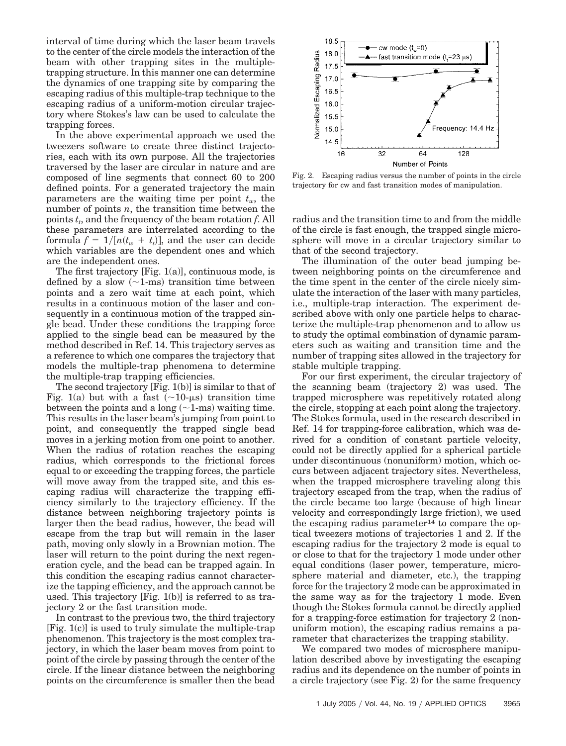interval of time during which the laser beam travels to the center of the circle models the interaction of the beam with other trapping sites in the multipletrapping structure. In this manner one can determine the dynamics of one trapping site by comparing the escaping radius of this multiple-trap technique to the escaping radius of a uniform-motion circular trajectory where Stokes's law can be used to calculate the trapping forces.

In the above experimental approach we used the tweezers software to create three distinct trajectories, each with its own purpose. All the trajectories traversed by the laser are circular in nature and are composed of line segments that connect 60 to 200 defined points. For a generated trajectory the main parameters are the waiting time per point  $t_w$ , the number of points *n*, the transition time between the points  $t_t$ , and the frequency of the beam rotation  $f$ . All these parameters are interrelated according to the formula  $f = 1/[n(t_w + t_t)]$ , and the user can decide which variables are the dependent ones and which are the independent ones.

The first trajectory [Fig. 1(a)], continuous mode, is defined by a slow  $(-1\text{-ms})$  transition time between points and a zero wait time at each point, which results in a continuous motion of the laser and consequently in a continuous motion of the trapped single bead. Under these conditions the trapping force applied to the single bead can be measured by the method described in Ref. 14. This trajectory serves as a reference to which one compares the trajectory that models the multiple-trap phenomena to determine the multiple-trap trapping efficiencies.

The second trajectory [Fig. 1(b)] is similar to that of Fig. 1(a) but with a fast  $(\sim 10$ - $\mu$ s) transition time between the points and a long  $(\sim 1$ -ms) waiting time. This results in the laser beam's jumping from point to point, and consequently the trapped single bead moves in a jerking motion from one point to another. When the radius of rotation reaches the escaping radius, which corresponds to the frictional forces equal to or exceeding the trapping forces, the particle will move away from the trapped site, and this escaping radius will characterize the trapping efficiency similarly to the trajectory efficiency. If the distance between neighboring trajectory points is larger then the bead radius, however, the bead will escape from the trap but will remain in the laser path, moving only slowly in a Brownian motion. The laser will return to the point during the next regeneration cycle, and the bead can be trapped again. In this condition the escaping radius cannot characterize the tapping efficiency, and the approach cannot be used. This trajectory [Fig. 1(b)] is referred to as trajectory 2 or the fast transition mode.

In contrast to the previous two, the third trajectory [Fig. 1(c)] is used to truly simulate the multiple-trap phenomenon. This trajectory is the most complex trajectory, in which the laser beam moves from point to point of the circle by passing through the center of the circle. If the linear distance between the neighboring points on the circumference is smaller then the bead



Fig. 2. Escaping radius versus the number of points in the circle trajectory for cw and fast transition modes of manipulation.

radius and the transition time to and from the middle of the circle is fast enough, the trapped single microsphere will move in a circular trajectory similar to that of the second trajectory.

The illumination of the outer bead jumping between neighboring points on the circumference and the time spent in the center of the circle nicely simulate the interaction of the laser with many particles, i.e., multiple-trap interaction. The experiment described above with only one particle helps to characterize the multiple-trap phenomenon and to allow us to study the optimal combination of dynamic parameters such as waiting and transition time and the number of trapping sites allowed in the trajectory for stable multiple trapping.

For our first experiment, the circular trajectory of the scanning beam (trajectory 2) was used. The trapped microsphere was repetitively rotated along the circle, stopping at each point along the trajectory. The Stokes formula, used in the research described in Ref. 14 for trapping-force calibration, which was derived for a condition of constant particle velocity, could not be directly applied for a spherical particle under discontinuous (nonuniform) motion, which occurs between adjacent trajectory sites. Nevertheless, when the trapped microsphere traveling along this trajectory escaped from the trap, when the radius of the circle became too large (because of high linear velocity and correspondingly large friction), we used the escaping radius parameter<sup>14</sup> to compare the optical tweezers motions of trajectories 1 and 2. If the escaping radius for the trajectory 2 mode is equal to or close to that for the trajectory 1 mode under other equal conditions (laser power, temperature, microsphere material and diameter, etc.), the trapping force for the trajectory 2 mode can be approximated in the same way as for the trajectory 1 mode. Even though the Stokes formula cannot be directly applied for a trapping-force estimation for trajectory 2 (nonuniform motion), the escaping radius remains a parameter that characterizes the trapping stability.

We compared two modes of microsphere manipulation described above by investigating the escaping radius and its dependence on the number of points in a circle trajectory (see Fig. 2) for the same frequency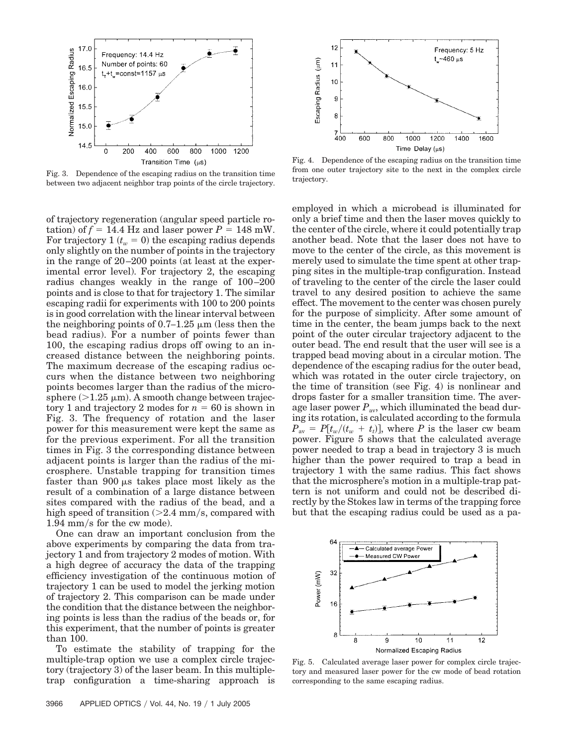

Fig. 3. Dependence of the escaping radius on the transition time between two adjacent neighbor trap points of the circle trajectory.

of trajectory regeneration (angular speed particle rotation) of  $f = 14.4$  Hz and laser power  $P = 148$  mW. For trajectory 1  $(t_w = 0)$  the escaping radius depends only slightly on the number of points in the trajectory in the range of 20 –200 points (at least at the experimental error level). For trajectory 2, the escaping radius changes weakly in the range of 100 –200 points and is close to that for trajectory 1. The similar escaping radii for experiments with 100 to 200 points is in good correlation with the linear interval between the neighboring points of  $0.7-1.25 \mu m$  (less then the bead radius). For a number of points fewer than 100, the escaping radius drops off owing to an increased distance between the neighboring points. The maximum decrease of the escaping radius occurs when the distance between two neighboring points becomes larger than the radius of the microsphere  $(>1.25 \mu m)$ . A smooth change between trajectory 1 and trajectory 2 modes for  $n = 60$  is shown in Fig. 3. The frequency of rotation and the laser power for this measurement were kept the same as for the previous experiment. For all the transition times in Fig. 3 the corresponding distance between adjacent points is larger than the radius of the microsphere. Unstable trapping for transition times faster than  $900 \mu s$  takes place most likely as the result of a combination of a large distance between sites compared with the radius of the bead, and a high speed of transition  $(>2.4 \text{ mm/s}, \text{compared with})$  $1.94$  mm/s for the cw mode).

One can draw an important conclusion from the above experiments by comparing the data from trajectory 1 and from trajectory 2 modes of motion. With a high degree of accuracy the data of the trapping efficiency investigation of the continuous motion of trajectory 1 can be used to model the jerking motion of trajectory 2. This comparison can be made under the condition that the distance between the neighboring points is less than the radius of the beads or, for this experiment, that the number of points is greater than 100.

To estimate the stability of trapping for the multiple-trap option we use a complex circle trajectory (trajectory 3) of the laser beam. In this multipletrap configuration a time-sharing approach is



Fig. 4. Dependence of the escaping radius on the transition time from one outer trajectory site to the next in the complex circle trajectory.

employed in which a microbead is illuminated for only a brief time and then the laser moves quickly to the center of the circle, where it could potentially trap another bead. Note that the laser does not have to move to the center of the circle, as this movement is merely used to simulate the time spent at other trapping sites in the multiple-trap configuration. Instead of traveling to the center of the circle the laser could travel to any desired position to achieve the same effect. The movement to the center was chosen purely for the purpose of simplicity. After some amount of time in the center, the beam jumps back to the next point of the outer circular trajectory adjacent to the outer bead. The end result that the user will see is a trapped bead moving about in a circular motion. The dependence of the escaping radius for the outer bead, which was rotated in the outer circle trajectory, on the time of transition (see Fig. 4) is nonlinear and drops faster for a smaller transition time. The average laser power  $P_{\text{av}}$ , which illuminated the bead during its rotation, is calculated according to the formula  $P_{\text{av}} = P[t_w/(t_w + t_i)],$  where *P* is the laser cw beam power. Figure 5 shows that the calculated average power needed to trap a bead in trajectory 3 is much higher than the power required to trap a bead in trajectory 1 with the same radius. This fact shows that the microsphere's motion in a multiple-trap pattern is not uniform and could not be described directly by the Stokes law in terms of the trapping force but that the escaping radius could be used as a pa-



Fig. 5. Calculated average laser power for complex circle trajectory and measured laser power for the cw mode of bead rotation corresponding to the same escaping radius.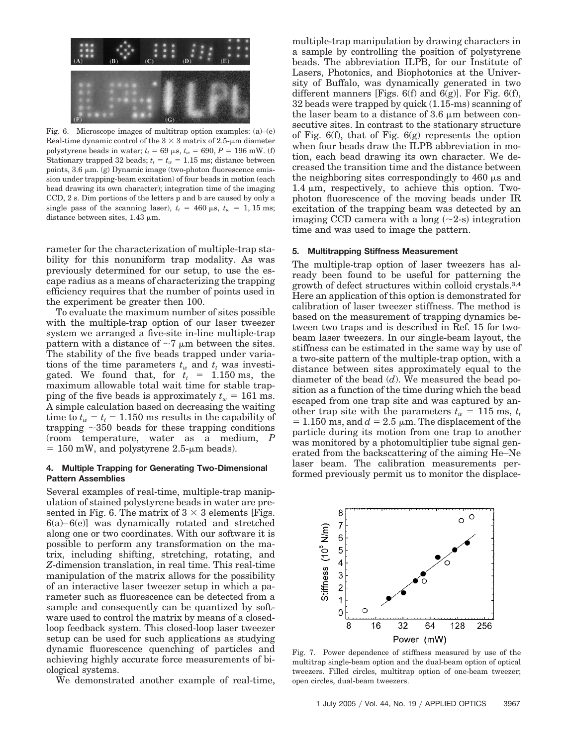

Fig. 6. Microscope images of multitrap option examples:  $(a)$ – $(e)$ Real-time dynamic control of the  $3 \times 3$  matrix of 2.5- $\mu$ m diameter polystyrene beads in water;  $t_t = 69 \,\mu s$ ,  $t_w = 690$ ,  $P = 196 \,\text{mW}$ . (f) Stationary trapped 32 beads;  $t_t = t_w = 1.15$  ms; distance between points,  $3.6 \mu m$ . (g) Dynamic image (two-photon fluorescence emission under trapping-beam excitation) of four beads in motion (each bead drawing its own character); integration time of the imaging CCD, 2 s. Dim portions of the letters p and b are caused by only a single pass of the scanning laser),  $t_t = 460 \,\mu s$ ,  $t_w = 1, 15 \,\text{ms}$ ; distance between sites,  $1.43 \mu m$ .

rameter for the characterization of multiple-trap stability for this nonuniform trap modality. As was previously determined for our setup, to use the escape radius as a means of characterizing the trapping efficiency requires that the number of points used in the experiment be greater then 100.

To evaluate the maximum number of sites possible with the multiple-trap option of our laser tweezer system we arranged a five-site in-line multiple-trap pattern with a distance of  $\sim$ 7  $\mu$ m between the sites. The stability of the five beads trapped under variations of the time parameters  $t_w$  and  $t_t$  was investigated. We found that, for  $t_t = 1.150$  ms, the maximum allowable total wait time for stable trapping of the five beads is approximately  $t_w = 161$  ms. A simple calculation based on decreasing the waiting time to  $t_w = t_t = 1.150$  ms results in the capability of trapping  $\sim$ 350 beads for these trapping conditions (room temperature, water as a medium, *P*  $= 150$  mW, and polystyrene 2.5- $\mu$ m beads).

## **4. Multiple Trapping for Generating Two-Dimensional Pattern Assemblies**

Several examples of real-time, multiple-trap manipulation of stained polystyrene beads in water are presented in Fig. 6. The matrix of  $3 \times 3$  elements [Figs.  $6(a) - 6(e)$ ] was dynamically rotated and stretched along one or two coordinates. With our software it is possible to perform any transformation on the matrix, including shifting, stretching, rotating, and *Z*-dimension translation, in real time. This real-time manipulation of the matrix allows for the possibility of an interactive laser tweezer setup in which a parameter such as fluorescence can be detected from a sample and consequently can be quantized by software used to control the matrix by means of a closedloop feedback system. This closed-loop laser tweezer setup can be used for such applications as studying dynamic fluorescence quenching of particles and achieving highly accurate force measurements of biological systems.

We demonstrated another example of real-time,

multiple-trap manipulation by drawing characters in a sample by controlling the position of polystyrene beads. The abbreviation ILPB, for our Institute of Lasers, Photonics, and Biophotonics at the University of Buffalo, was dynamically generated in two different manners [Figs.  $6(f)$  and  $6(g)$ ]. For Fig.  $6(f)$ ,  $32$  beads were trapped by quick  $(1.15\text{-ms})$  scanning of the laser beam to a distance of  $3.6 \mu m$  between consecutive sites. In contrast to the stationary structure of Fig. 6(f), that of Fig. 6(g) represents the option when four beads draw the ILPB abbreviation in motion, each bead drawing its own character. We decreased the transition time and the distance between the neighboring sites correspondingly to  $460 \mu s$  and  $1.4 \mu m$ , respectively, to achieve this option. Twophoton fluorescence of the moving beads under IR excitation of the trapping beam was detected by an imaging CCD camera with a long  $(\sim 2\text{-s})$  integration time and was used to image the pattern.

# **5. Multitrapping Stiffness Measurement**

The multiple-trap option of laser tweezers has already been found to be useful for patterning the growth of defect structures within colloid crystals.3,4 Here an application of this option is demonstrated for calibration of laser tweezer stiffness. The method is based on the measurement of trapping dynamics between two traps and is described in Ref. 15 for twobeam laser tweezers. In our single-beam layout, the stiffness can be estimated in the same way by use of a two-site pattern of the multiple-trap option, with a distance between sites approximately equal to the diameter of the bead (*d*). We measured the bead position as a function of the time during which the bead escaped from one trap site and was captured by another trap site with the parameters  $t_w = 115$  ms,  $t_t$  $= 1.150 \text{ ms}$ , and  $d = 2.5 \text{ }\mu\text{m}$ . The displacement of the particle during its motion from one trap to another was monitored by a photomultiplier tube signal generated from the backscattering of the aiming He–Ne laser beam. The calibration measurements performed previously permit us to monitor the displace-



Fig. 7. Power dependence of stiffness measured by use of the multitrap single-beam option and the dual-beam option of optical tweezers. Filled circles, multitrap option of one-beam tweezer; open circles, dual-beam tweezers.